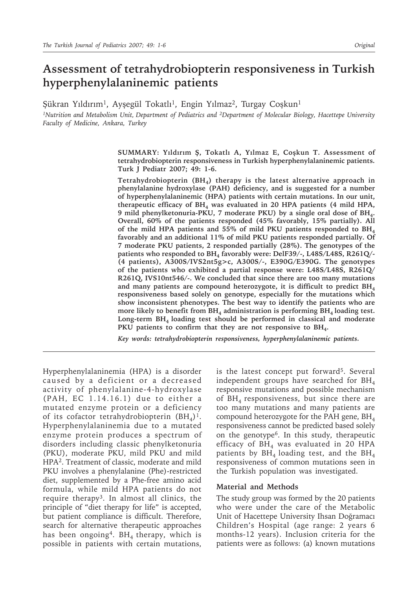# **Assessment of tetrahydrobiopterin responsiveness in Turkish hyperphenylalaninemic patients**

Şükran Yıldırım<sup>1</sup>, Ayşegül Tokatlı<sup>1</sup>, Engin Yılmaz<sup>2</sup>, Turgay Coşkun<sup>1</sup>

*1Nutrition and Metabolism Unit, Department of Pediatrics and 2Department of Molecular Biology, Hacettepe University Faculty of Medicine, Ankara, Turkey*

> **SUMMARY: Yıldırım Ş, Tokatlı A, Yılmaz E, Coşkun T. Assessment of tetrahydrobiopterin responsiveness in Turkish hyperphenylalaninemic patients. Turk J Pediatr 2007; 49: 1-6.**

> **Tetrahydrobiopterin (BH4) therapy is the latest alternative approach in phenylalanine hydroxylase (PAH) deficiency, and is suggested for a number of hyperphenylalaninemic (HPA) patients with certain mutations. In our unit,**  therapeutic efficacy of BH<sub>4</sub> was evaluated in 20 HPA patients (4 mild HPA, **9 mild phenylketonuria-PKU, 7 moderate PKU) by a single oral dose of BH4. Overall, 60% of the patients responded (45% favorably, 15% partially). All of the mild HPA patients and 55% of mild PKU patients responded to BH4 favorably and an additional 11% of mild PKU patients responded partially. Of 7 moderate PKU patients, 2 responded partially (28%). The genotypes of the**  patients who responded to BH<sub>4</sub> favorably were: DelF39/-, L48S/L48S, R261Q/-**(4 patients), A300S/IVS2nt5g>c, A300S/-, E390G/E390G. The genotypes of the patients who exhibited a partial response were: L48S/L48S, R261Q/ R261Q, IVS10nt546/-. We concluded that since there are too many mutations and many patients are compound heterozygote, it is difficult to predict BH4 responsiveness based solely on genotype, especially for the mutations which show inconsistent phenotypes. The best way to identify the patients who are**  more likely to benefit from BH<sub>4</sub> administration is performing BH<sub>4</sub> loading test. **Long-term BH4 loading test should be performed in classical and moderate**  PKU patients to confirm that they are not responsive to BH<sub>4</sub>.

*Key words: tetrahydrobiopterin responsiveness, hyperphenylalaninemic patients.*

Hyperphenylalaninemia (HPA) is a disorder caused by a deficient or a decreased activity of phenylalanine-4-hydroxylase (PAH, EC 1.14.16.1) due to either a mutated enzyme protein or a deficiency of its cofactor tetrahydrobiopterin  $(BH<sub>A</sub>)<sup>1</sup>$ . Hyperphenylalaninemia due to a mutated enzyme protein produces a spectrum of disorders including classic phenylketonuria (PKU), moderate PKU, mild PKU and mild HPA2. Treatment of classic, moderate and mild PKU involves a phenylalanine (Phe)-restricted diet, supplemented by a Phe-free amino acid formula, while mild HPA patients do not require therapy3. In almost all clinics, the principle of "diet therapy for life" is accepted, but patient compliance is difficult. Therefore, search for alternative therapeutic approaches has been ongoing<sup>4</sup>. BH<sub>4</sub> therapy, which is possible in patients with certain mutations,

is the latest concept put forward<sup>5</sup>. Several independent groups have searched for  $BH<sub>4</sub>$ responsive mutations and possible mechanism of  $BH<sub>4</sub>$  responsiveness, but since there are too many mutations and many patients are compound heterozygote for the PAH gene,  $BH<sub>4</sub>$ responsiveness cannot be predicted based solely on the genotype6. In this study, therapeutic efficacy of  $BH<sub>4</sub>$  was evaluated in 20 HPA patients by  $BH<sub>4</sub>$  loading test, and the  $BH<sub>4</sub>$ responsiveness of common mutations seen in the Turkish population was investigated.

#### **Material and Methods**

The study group was formed by the 20 patients who were under the care of the Metabolic Unit of Hacettepe University Ihsan Doğramacı Children's Hospital (age range: 2 years 6 months-12 years). Inclusion criteria for the patients were as follows: (a) known mutations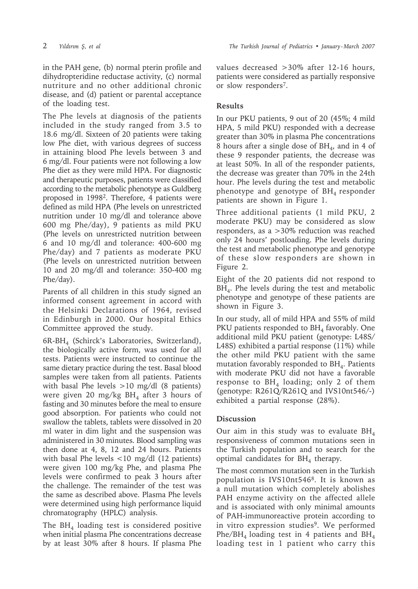in the PAH gene, (b) normal pterin profile and dihydropteridine reductase activity, (c) normal nutriture and no other additional chronic disease, and (d) patient or parental acceptance of the loading test.

The Phe levels at diagnosis of the patients included in the study ranged from 3.5 to 18.6 mg/dl. Sixteen of 20 patients were taking low Phe diet, with various degrees of success in attaining blood Phe levels between 3 and 6 mg/dl. Four patients were not following a low Phe diet as they were mild HPA. For diagnostic and therapeutic purposes, patients were classified according to the metabolic phenotype as Guldberg proposed in 19982. Therefore, 4 patients were defined as mild HPA (Phe levels on unrestricted nutrition under 10 mg/dl and tolerance above 600 mg Phe/day), 9 patients as mild PKU (Phe levels on unrestricted nutrition between 6 and 10 mg/dl and tolerance: 400-600 mg Phe/day) and 7 patients as moderate PKU (Phe levels on unrestricted nutrition between 10 and 20 mg/dl and tolerance: 350-400 mg Phe/day).

Parents of all children in this study signed an informed consent agreement in accord with the Helsinki Declarations of 1964, revised in Edinburgh in 2000. Our hospital Ethics Committee approved the study.

 $6R-BH<sub>4</sub>$  (Schirck's Laboratories, Switzerland), the biologically active form, was used for all tests. Patients were instructed to continue the same dietary practice during the test. Basal blood samples were taken from all patients. Patients with basal Phe levels >10 mg/dl (8 patients) were given 20 mg/kg  $BH<sub>4</sub>$  after 3 hours of fasting and 30 minutes before the meal to ensure good absorption. For patients who could not swallow the tablets, tablets were dissolved in 20 ml water in dim light and the suspension was administered in 30 minutes. Blood sampling was then done at 4, 8, 12 and 24 hours. Patients with basal Phe levels <10 mg/dl (12 patients) were given 100 mg/kg Phe, and plasma Phe levels were confirmed to peak 3 hours after the challenge. The remainder of the test was the same as described above. Plasma Phe levels were determined using high performance liquid chromatography (HPLC) analysis.

The  $BH<sub>4</sub>$  loading test is considered positive when initial plasma Phe concentrations decrease by at least 30% after 8 hours. If plasma Phe values decreased >30% after 12-16 hours, patients were considered as partially responsive or slow responders7.

# **Results**

In our PKU patients, 9 out of 20 (45%; 4 mild HPA, 5 mild PKU) responded with a decrease greater than 30% in plasma Phe concentrations 8 hours after a single dose of  $BH<sub>4</sub>$ , and in 4 of these 9 responder patients, the decrease was at least 50%. In all of the responder patients, the decrease was greater than 70% in the 24th hour. Phe levels during the test and metabolic phenotype and genotype of  $BH<sub>4</sub>$  responder patients are shown in Figure 1.

Three additional patients (1 mild PKU, 2 moderate PKU) may be considered as slow responders, as a >30% reduction was reached only 24 hours' postloading. Phe levels during the test and metabolic phenotype and genotype of these slow responders are shown in Figure 2.

Eight of the 20 patients did not respond to BH<sub>4</sub>. Phe levels during the test and metabolic phenotype and genotype of these patients are shown in Figure 3.

In our study, all of mild HPA and 55% of mild PKU patients responded to  $BH<sub>4</sub>$  favorably. One additional mild PKU patient (genotype: L48S/ L48S) exhibited a partial response (11%) while the other mild PKU patient with the same mutation favorably responded to  $BH<sub>4</sub>$ . Patients with moderate PKU did not have a favorable response to  $BH<sub>4</sub>$  loading; only 2 of them (genotype: R261Q/R261Q and IVS10nt546/-) exhibited a partial response (28%).

## **Discussion**

Our aim in this study was to evaluate  $BH<sub>4</sub>$ responsiveness of common mutations seen in the Turkish population and to search for the optimal candidates for  $BH<sub>4</sub>$  therapy.

The most common mutation seen in the Turkish population is IVS10nt5468. It is known as a null mutation which completely abolishes PAH enzyme activity on the affected allele and is associated with only minimal amounts of PAH-immunoreactive protein according to in vitro expression studies<sup>9</sup>. We performed Phe/BH<sub>4</sub> loading test in 4 patients and  $BH<sub>4</sub>$ loading test in 1 patient who carry this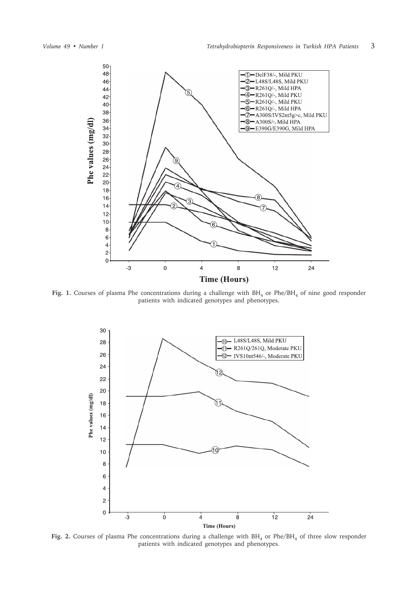

Fig. 1. Courses of plasma Phe concentrations during a challenge with BH<sub>4</sub> or Phe/BH<sub>4</sub> of nine good responder patients with indicated genotypes and phenotypes.



Fig. 2. Courses of plasma Phe concentrations during a challenge with BH<sub>4</sub> or Phe/BH<sub>4</sub> of three slow responder patients with indicated genotypes and phenotypes.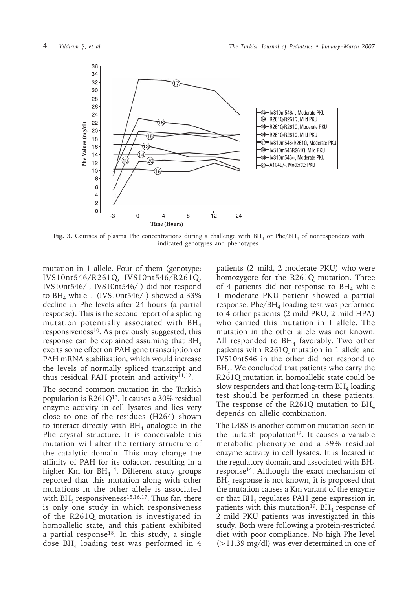

Fig. 3. Courses of plasma Phe concentrations during a challenge with BH<sub>4</sub> or Phe/BH<sub>4</sub> of nonresponders with indicated genotypes and phenotypes.

mutation in 1 allele. Four of them (genotype: IVS10nt546/R261Q, IVS10nt546/R261Q, IVS10nt546/-, IVS10nt546/-) did not respond to  $BH<sub>4</sub>$  while 1 (IVS10nt546/-) showed a 33% decline in Phe levels after 24 hours (a partial response). This is the second report of a splicing mutation potentially associated with BH<sub>4</sub> responsiveness<sup>10</sup>. As previously suggested, this response can be explained assuming that  $BH<sub>4</sub>$ exerts some effect on PAH gene transcription or PAH mRNA stabilization, which would increase the levels of normally spliced transcript and thus residual PAH protein and activity<sup>11,12</sup>.

The second common mutation in the Turkish population is  $R261Q^{13}$ . It causes a 30% residual enzyme activity in cell lysates and lies very close to one of the residues (H264) shown to interact directly with  $BH<sub>4</sub>$  analogue in the Phe crystal structure. It is conceivable this mutation will alter the tertiary structure of the catalytic domain. This may change the affinity of PAH for its cofactor, resulting in a higher Km for  $BH<sub>4</sub><sup>14</sup>$ . Different study groups reported that this mutation along with other mutations in the other allele is associated with  $BH<sub>4</sub>$  responsiveness<sup>15,16,17</sup>. Thus far, there is only one study in which responsiveness of the R261Q mutation is investigated in homoallelic state, and this patient exhibited a partial response<sup>18</sup>. In this study, a single dose  $BH<sub>4</sub>$  loading test was performed in 4

patients (2 mild, 2 moderate PKU) who were homozygote for the R261Q mutation. Three of 4 patients did not response to  $BH<sub>4</sub>$  while 1 moderate PKU patient showed a partial response. Phe/BH<sub>4</sub> loading test was performed to 4 other patients (2 mild PKU, 2 mild HPA) who carried this mutation in 1 allele. The mutation in the other allele was not known. All responded to  $BH<sub>4</sub>$  favorably. Two other patients with R261Q mutation in 1 allele and IVS10nt546 in the other did not respond to  $BH<sub>4</sub>$ . We concluded that patients who carry the R261Q mutation in homoallelic state could be slow responders and that long-term  $BH<sub>4</sub>$  loading test should be performed in these patients. The response of the R261Q mutation to  $BH<sub>4</sub>$ depends on allelic combination.

The L48S is another common mutation seen in the Turkish population<sup>13</sup>. It causes a variable metabolic phenotype and a 39% residual enzyme activity in cell lysates. It is located in the regulatory domain and associated with  $BH<sub>4</sub>$ response14. Although the exact mechanism of  $BH<sub>4</sub>$  response is not known, it is proposed that the mutation causes a Km variant of the enzyme or that  $BH<sub>4</sub>$  regulates PAH gene expression in patients with this mutation<sup>19</sup>. BH<sub>4</sub> response of 2 mild PKU patients was investigated in this study. Both were following a protein-restricted diet with poor compliance. No high Phe level (>11.39 mg/dl) was ever determined in one of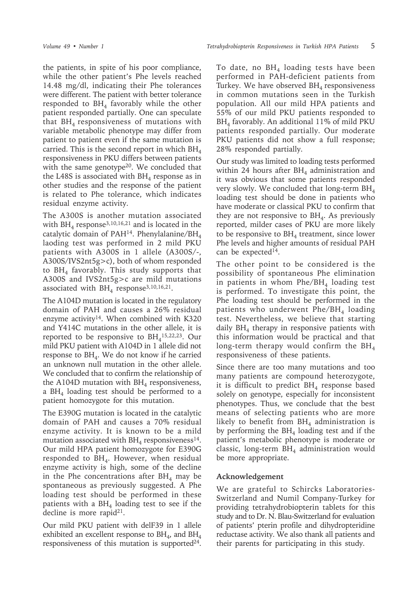the patients, in spite of his poor compliance, while the other patient's Phe levels reached 14.48 mg/dl, indicating their Phe tolerances were different. The patient with better tolerance responded to  $BH<sub>4</sub>$  favorably while the other patient responded partially. One can speculate that  $BH<sub>4</sub>$  responsiveness of mutations with variable metabolic phenotype may differ from patient to patient even if the same mutation is carried. This is the second report in which  $BH<sub>4</sub>$ responsiveness in PKU differs between patients with the same genotype<sup>20</sup>. We concluded that the L48S is associated with  $BH<sub>4</sub>$  response as in other studies and the response of the patient is related to Phe tolerance, which indicates residual enzyme activity.

The A300S is another mutation associated with  $BH<sub>4</sub>$  response<sup>3,10,16,21</sup> and is located in the catalytic domain of PAH<sup>14</sup>. Phenylalanine/BH<sub>4</sub> laoding test was performed in 2 mild PKU patients with A300S in 1 allele (A300S/-, A300S/IVS2nt5g>c), both of whom responded to  $BH<sub>4</sub>$  favorably. This study supports that A300S and IVS2nt5g>c are mild mutations associated with  $BH<sub>4</sub>$  response<sup>3,10,16,21</sup>.

The A104D mutation is located in the regulatory domain of PAH and causes a 26% residual enzyme activity<sup>14</sup>. When combined with K320 and Y414C mutations in the other allele, it is reported to be responsive to  $BH<sub>4</sub><sup>15,22,23</sup>$ . Our mild PKU patient with A104D in 1 allele did not response to  $BH<sub>4</sub>$ . We do not know if he carried an unknown null mutation in the other allele. We concluded that to confirm the relationship of the A104D mutation with  $BH<sub>4</sub>$  responsiveness, a  $BH<sub>4</sub>$  loading test should be performed to a patient homozygote for this mutation.

The E390G mutation is located in the catalytic domain of PAH and causes a 70% residual enzyme activity. It is known to be a mild mutation associated with  $BH<sub>4</sub>$  responsiveness<sup>14</sup>. Our mild HPA patient homozygote for E390G responded to  $BH<sub>4</sub>$ . However, when residual enzyme activity is high, some of the decline in the Phe concentrations after  $BH<sub>4</sub>$  may be spontaneous as previously suggested. A Phe loading test should be performed in these patients with a  $BH<sub>4</sub>$  loading test to see if the decline is more rapid $21$ .

Our mild PKU patient with delF39 in 1 allele exhibited an excellent response to  $BH<sub>4</sub>$ , and  $BH<sub>4</sub>$ responsiveness of this mutation is supported $^{24}$ .

To date, no  $BH<sub>4</sub>$  loading tests have been performed in PAH-deficient patients from Turkey. We have observed  $BH<sub>4</sub>$  responsiveness in common mutations seen in the Turkish population. All our mild HPA patients and 55% of our mild PKU patients responded to  $BH<sub>4</sub>$  favorably. An additional 11% of mild PKU patients responded partially. Our moderate PKU patients did not show a full response; 28% responded partially.

Our study was limited to loading tests performed within 24 hours after  $BH<sub>4</sub>$  administration and it was obvious that some patients responded very slowly. We concluded that long-term  $BH<sub>4</sub>$ loading test should be done in patients who have moderate or classical PKU to confirm that they are not responsive to  $BH<sub>4</sub>$ . As previously reported, milder cases of PKU are more likely to be responsive to  $BH<sub>4</sub>$  treatment, since lower Phe levels and higher amounts of residual PAH can be expected<sup>14</sup>.

The other point to be considered is the possibility of spontaneous Phe elimination in patients in whom  $Phe/BH_4$  loading test is performed. To investigate this point, the Phe loading test should be performed in the patients who underwent  $Phe/BH_4$  loading test. Nevertheless, we believe that starting daily  $BH<sub>4</sub>$  therapy in responsive patients with this information would be practical and that long-term therapy would confirm the  $BH<sub>4</sub>$ responsiveness of these patients.

Since there are too many mutations and too many patients are compound heterozygote, it is difficult to predict  $BH<sub>4</sub>$  response based solely on genotype, especially for inconsistent phenotypes. Thus, we conclude that the best means of selecting patients who are more likely to benefit from  $BH<sub>4</sub>$  administration is by performing the  $BH<sub>4</sub>$  loading test and if the patient's metabolic phenotype is moderate or classic, long-term  $BH<sub>4</sub>$  administration would be more appropriate.

### **Acknowledgement**

We are grateful to Schircks Laboratories-Switzerland and Numil Company-Turkey for providing tetrahydrobiopterin tablets for this study and to Dr. N. Blau-Switzerland for evaluation of patients' pterin profile and dihydropteridine reductase activity. We also thank all patients and their parents for participating in this study.